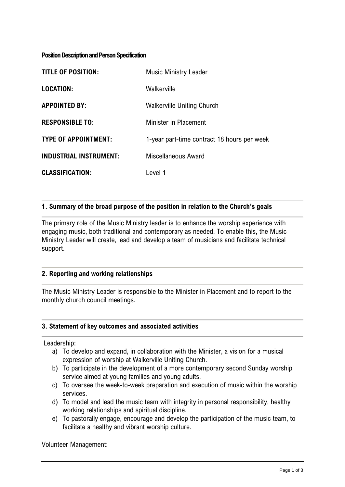#### **Position Description and Person Specification**

| <b>TITLE OF POSITION:</b>     | <b>Music Ministry Leader</b>                |
|-------------------------------|---------------------------------------------|
| <b>LOCATION:</b>              | Walkerville                                 |
| <b>APPOINTED BY:</b>          | <b>Walkerville Uniting Church</b>           |
| <b>RESPONSIBLE TO:</b>        | <b>Minister in Placement</b>                |
| <b>TYPE OF APPOINTMENT:</b>   | 1-year part-time contract 18 hours per week |
| <b>INDUSTRIAL INSTRUMENT:</b> | Miscellaneous Award                         |
| <b>CLASSIFICATION:</b>        | Level 1                                     |

### **1. Summary of the broad purpose of the position in relation to the Church's goals**

The primary role of the Music Ministry leader is to enhance the worship experience with engaging music, both traditional and contemporary as needed. To enable this, the Music Ministry Leader will create, lead and develop a team of musicians and facilitate technical support.

### **2. Reporting and working relationships**

The Music Ministry Leader is responsible to the Minister in Placement and to report to the monthly church council meetings.

### **3. Statement of key outcomes and associated activities**

Leadership:

- a) To develop and expand, in collaboration with the Minister, a vision for a musical expression of worship at Walkerville Uniting Church.
- b) To participate in the development of a more contemporary second Sunday worship service aimed at young families and young adults.
- c) To oversee the week-to-week preparation and execution of music within the worship services.
- d) To model and lead the music team with integrity in personal responsibility, healthy working relationships and spiritual discipline.
- e) To pastorally engage, encourage and develop the participation of the music team, to facilitate a healthy and vibrant worship culture.

Volunteer Management: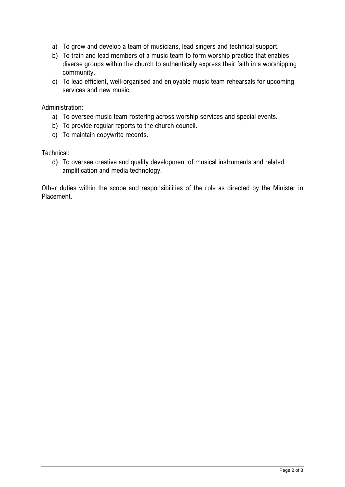- a) To grow and develop a team of musicians, lead singers and technical support.
- b) To train and lead members of a music team to form worship practice that enables diverse groups within the church to authentically express their faith in a worshipping community.
- c) To lead efficient, well-organised and enjoyable music team rehearsals for upcoming services and new music.

Administration:

- a) To oversee music team rostering across worship services and special events.
- b) To provide regular reports to the church council.
- c) To maintain copywrite records.

Technical:

d) To oversee creative and quality development of musical instruments and related amplification and media technology.

Other duties within the scope and responsibilities of the role as directed by the Minister in Placement.